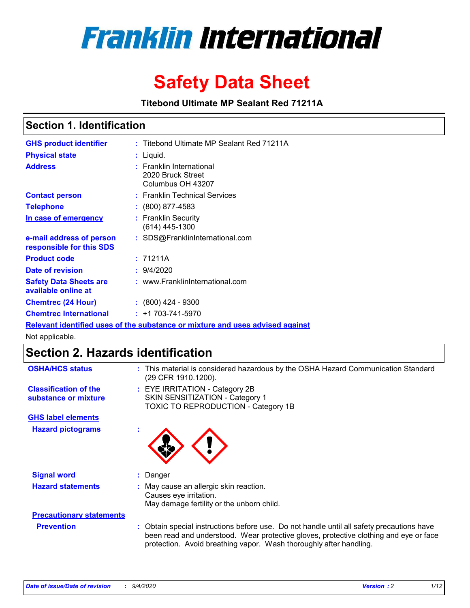

# **Safety Data Sheet**

**Titebond Ultimate MP Sealant Red 71211A**

### **Section 1. Identification**

| <b>GHS product identifier</b>                        | : Titebond Ultimate MP Sealant Red 71211A                                     |
|------------------------------------------------------|-------------------------------------------------------------------------------|
| <b>Physical state</b>                                | : Liquid.                                                                     |
| <b>Address</b>                                       | : Franklin International<br>2020 Bruck Street<br>Columbus OH 43207            |
| <b>Contact person</b>                                | : Franklin Technical Services                                                 |
| <b>Telephone</b>                                     | $\colon$ (800) 877-4583                                                       |
| In case of emergency                                 | : Franklin Security<br>(614) 445-1300                                         |
| e-mail address of person<br>responsible for this SDS | : SDS@FranklinInternational.com                                               |
| <b>Product code</b>                                  | : 71211A                                                                      |
| Date of revision                                     | : 9/4/2020                                                                    |
| <b>Safety Data Sheets are</b><br>available online at | : www.FranklinInternational.com                                               |
| <b>Chemtrec (24 Hour)</b>                            | $: (800)$ 424 - 9300                                                          |
| <b>Chemtrec International</b>                        | $: +1703 - 741 - 5970$                                                        |
|                                                      | Relevant identified uses of the substance or mixture and uses advised against |

Not applicable.

## **Section 2. Hazards identification**

| <b>OSHA/HCS status</b>                               |    | : This material is considered hazardous by the OSHA Hazard Communication Standard<br>(29 CFR 1910.1200).                                                                                                                                                 |
|------------------------------------------------------|----|----------------------------------------------------------------------------------------------------------------------------------------------------------------------------------------------------------------------------------------------------------|
| <b>Classification of the</b><br>substance or mixture |    | : EYE IRRITATION - Category 2B<br>SKIN SENSITIZATION - Category 1<br>TOXIC TO REPRODUCTION - Category 1B                                                                                                                                                 |
| <b>GHS label elements</b>                            |    |                                                                                                                                                                                                                                                          |
| <b>Hazard pictograms</b>                             |    |                                                                                                                                                                                                                                                          |
| <b>Signal word</b>                                   | ÷. | Danger                                                                                                                                                                                                                                                   |
| <b>Hazard statements</b>                             |    | May cause an allergic skin reaction.<br>Causes eye irritation.<br>May damage fertility or the unborn child.                                                                                                                                              |
| <b>Precautionary statements</b>                      |    |                                                                                                                                                                                                                                                          |
| <b>Prevention</b>                                    |    | : Obtain special instructions before use. Do not handle until all safety precautions have<br>been read and understood. Wear protective gloves, protective clothing and eye or face<br>protection. Avoid breathing vapor. Wash thoroughly after handling. |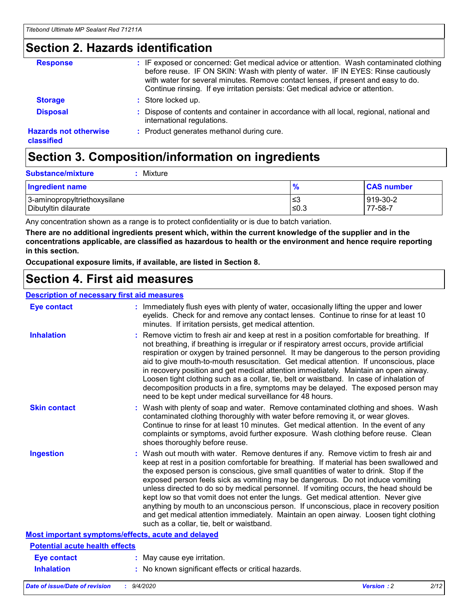### **Section 2. Hazards identification**

| <b>Response</b>                            | : IF exposed or concerned: Get medical advice or attention. Wash contaminated clothing<br>before reuse. IF ON SKIN: Wash with plenty of water. IF IN EYES: Rinse cautiously<br>with water for several minutes. Remove contact lenses, if present and easy to do.<br>Continue rinsing. If eye irritation persists: Get medical advice or attention. |
|--------------------------------------------|----------------------------------------------------------------------------------------------------------------------------------------------------------------------------------------------------------------------------------------------------------------------------------------------------------------------------------------------------|
| <b>Storage</b>                             | : Store locked up.                                                                                                                                                                                                                                                                                                                                 |
| <b>Disposal</b>                            | : Dispose of contents and container in accordance with all local, regional, national and<br>international regulations.                                                                                                                                                                                                                             |
| <b>Hazards not otherwise</b><br>classified | : Product generates methanol during cure.                                                                                                                                                                                                                                                                                                          |

# **Section 3. Composition/information on ingredients**

| <b>Ingredient name</b>       | $\frac{9}{6}$ | <b>CAS number</b> |
|------------------------------|---------------|-------------------|
| 3-aminopropyltriethoxysilane | ≤3            | 919-30-2          |
| Dibutyltin dilaurate         | ∣≤0.3         | 77-58-7           |

Any concentration shown as a range is to protect confidentiality or is due to batch variation.

**There are no additional ingredients present which, within the current knowledge of the supplier and in the concentrations applicable, are classified as hazardous to health or the environment and hence require reporting in this section.**

**Occupational exposure limits, if available, are listed in Section 8.**

### **Section 4. First aid measures**

| <b>Description of necessary first aid measures</b> |                                                                                                                                                                                                                                                                                                                                                                                                                                                                                                                                                                                                                                                                                                                                                                           |
|----------------------------------------------------|---------------------------------------------------------------------------------------------------------------------------------------------------------------------------------------------------------------------------------------------------------------------------------------------------------------------------------------------------------------------------------------------------------------------------------------------------------------------------------------------------------------------------------------------------------------------------------------------------------------------------------------------------------------------------------------------------------------------------------------------------------------------------|
| <b>Eye contact</b>                                 | : Immediately flush eyes with plenty of water, occasionally lifting the upper and lower<br>eyelids. Check for and remove any contact lenses. Continue to rinse for at least 10<br>minutes. If irritation persists, get medical attention.                                                                                                                                                                                                                                                                                                                                                                                                                                                                                                                                 |
| <b>Inhalation</b>                                  | : Remove victim to fresh air and keep at rest in a position comfortable for breathing. If<br>not breathing, if breathing is irregular or if respiratory arrest occurs, provide artificial<br>respiration or oxygen by trained personnel. It may be dangerous to the person providing<br>aid to give mouth-to-mouth resuscitation. Get medical attention. If unconscious, place<br>in recovery position and get medical attention immediately. Maintain an open airway.<br>Loosen tight clothing such as a collar, tie, belt or waistband. In case of inhalation of<br>decomposition products in a fire, symptoms may be delayed. The exposed person may<br>need to be kept under medical surveillance for 48 hours.                                                       |
| <b>Skin contact</b>                                | : Wash with plenty of soap and water. Remove contaminated clothing and shoes. Wash<br>contaminated clothing thoroughly with water before removing it, or wear gloves.<br>Continue to rinse for at least 10 minutes. Get medical attention. In the event of any<br>complaints or symptoms, avoid further exposure. Wash clothing before reuse. Clean<br>shoes thoroughly before reuse.                                                                                                                                                                                                                                                                                                                                                                                     |
| <b>Ingestion</b>                                   | : Wash out mouth with water. Remove dentures if any. Remove victim to fresh air and<br>keep at rest in a position comfortable for breathing. If material has been swallowed and<br>the exposed person is conscious, give small quantities of water to drink. Stop if the<br>exposed person feels sick as vomiting may be dangerous. Do not induce vomiting<br>unless directed to do so by medical personnel. If vomiting occurs, the head should be<br>kept low so that vomit does not enter the lungs. Get medical attention. Never give<br>anything by mouth to an unconscious person. If unconscious, place in recovery position<br>and get medical attention immediately. Maintain an open airway. Loosen tight clothing<br>such as a collar, tie, belt or waistband. |
| Most important symptoms/effects, acute and delayed |                                                                                                                                                                                                                                                                                                                                                                                                                                                                                                                                                                                                                                                                                                                                                                           |
| <b>Potential acute health effects</b>              |                                                                                                                                                                                                                                                                                                                                                                                                                                                                                                                                                                                                                                                                                                                                                                           |
| <b>Eye contact</b>                                 | : May cause eye irritation.                                                                                                                                                                                                                                                                                                                                                                                                                                                                                                                                                                                                                                                                                                                                               |
| <b>Inhalation</b>                                  | : No known significant effects or critical hazards.                                                                                                                                                                                                                                                                                                                                                                                                                                                                                                                                                                                                                                                                                                                       |
|                                                    |                                                                                                                                                                                                                                                                                                                                                                                                                                                                                                                                                                                                                                                                                                                                                                           |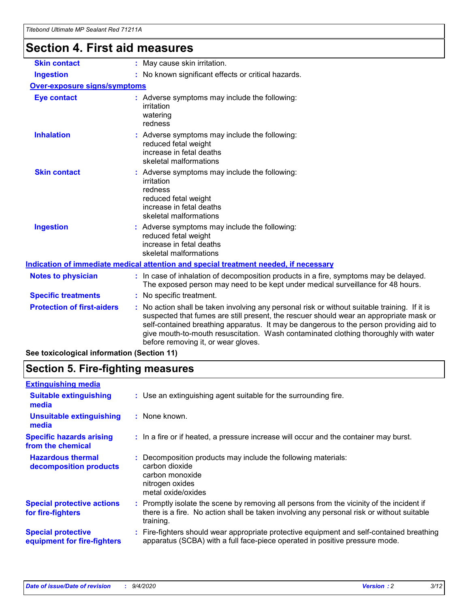# **Section 4. First aid measures**

| <b>Skin contact</b>                        | : May cause skin irritation.                                                                                                                                                                                                                                                                                                                                                                                  |
|--------------------------------------------|---------------------------------------------------------------------------------------------------------------------------------------------------------------------------------------------------------------------------------------------------------------------------------------------------------------------------------------------------------------------------------------------------------------|
| <b>Ingestion</b>                           | : No known significant effects or critical hazards.                                                                                                                                                                                                                                                                                                                                                           |
| <b>Over-exposure signs/symptoms</b>        |                                                                                                                                                                                                                                                                                                                                                                                                               |
| <b>Eye contact</b>                         | : Adverse symptoms may include the following:<br>irritation<br>watering<br>redness                                                                                                                                                                                                                                                                                                                            |
| <b>Inhalation</b>                          | Adverse symptoms may include the following:<br>reduced fetal weight<br>increase in fetal deaths<br>skeletal malformations                                                                                                                                                                                                                                                                                     |
| <b>Skin contact</b>                        | Adverse symptoms may include the following:<br>irritation<br>redness<br>reduced fetal weight<br>increase in fetal deaths<br>skeletal malformations                                                                                                                                                                                                                                                            |
| <b>Ingestion</b>                           | : Adverse symptoms may include the following:<br>reduced fetal weight<br>increase in fetal deaths<br>skeletal malformations                                                                                                                                                                                                                                                                                   |
|                                            | Indication of immediate medical attention and special treatment needed, if necessary                                                                                                                                                                                                                                                                                                                          |
| <b>Notes to physician</b>                  | : In case of inhalation of decomposition products in a fire, symptoms may be delayed.<br>The exposed person may need to be kept under medical surveillance for 48 hours.                                                                                                                                                                                                                                      |
| <b>Specific treatments</b>                 | : No specific treatment.                                                                                                                                                                                                                                                                                                                                                                                      |
| <b>Protection of first-aiders</b>          | No action shall be taken involving any personal risk or without suitable training. If it is<br>suspected that fumes are still present, the rescuer should wear an appropriate mask or<br>self-contained breathing apparatus. It may be dangerous to the person providing aid to<br>give mouth-to-mouth resuscitation. Wash contaminated clothing thoroughly with water<br>before removing it, or wear gloves. |
| See toxicological information (Section 11) |                                                                                                                                                                                                                                                                                                                                                                                                               |

# **Section 5. Fire-fighting measures**

| <b>Extinguishing media</b>                               |                                                                                                                                                                                                     |
|----------------------------------------------------------|-----------------------------------------------------------------------------------------------------------------------------------------------------------------------------------------------------|
| <b>Suitable extinguishing</b><br>media                   | : Use an extinguishing agent suitable for the surrounding fire.                                                                                                                                     |
| <b>Unsuitable extinguishing</b><br>media                 | : None known.                                                                                                                                                                                       |
| <b>Specific hazards arising</b><br>from the chemical     | : In a fire or if heated, a pressure increase will occur and the container may burst.                                                                                                               |
| <b>Hazardous thermal</b><br>decomposition products       | Decomposition products may include the following materials:<br>carbon dioxide<br>carbon monoxide<br>nitrogen oxides<br>metal oxide/oxides                                                           |
| <b>Special protective actions</b><br>for fire-fighters   | : Promptly isolate the scene by removing all persons from the vicinity of the incident if<br>there is a fire. No action shall be taken involving any personal risk or without suitable<br>training. |
| <b>Special protective</b><br>equipment for fire-fighters | : Fire-fighters should wear appropriate protective equipment and self-contained breathing<br>apparatus (SCBA) with a full face-piece operated in positive pressure mode.                            |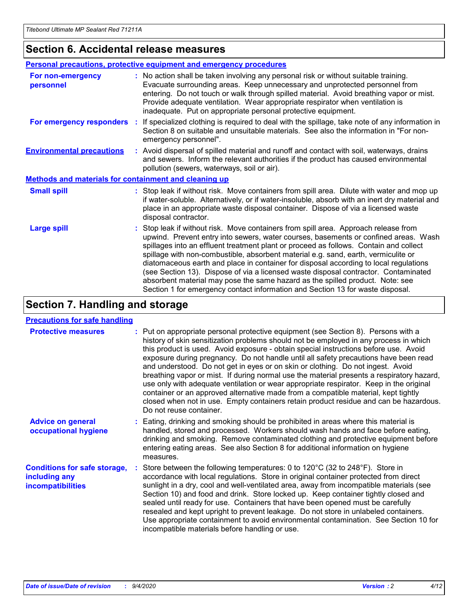### **Section 6. Accidental release measures**

|                                                              | <b>Personal precautions, protective equipment and emergency procedures</b>                                                                                                                                                                                                                                                                                                                                                                                                                                                                                                                                                                                                                                   |
|--------------------------------------------------------------|--------------------------------------------------------------------------------------------------------------------------------------------------------------------------------------------------------------------------------------------------------------------------------------------------------------------------------------------------------------------------------------------------------------------------------------------------------------------------------------------------------------------------------------------------------------------------------------------------------------------------------------------------------------------------------------------------------------|
| For non-emergency<br>personnel                               | : No action shall be taken involving any personal risk or without suitable training.<br>Evacuate surrounding areas. Keep unnecessary and unprotected personnel from<br>entering. Do not touch or walk through spilled material. Avoid breathing vapor or mist.<br>Provide adequate ventilation. Wear appropriate respirator when ventilation is<br>inadequate. Put on appropriate personal protective equipment.                                                                                                                                                                                                                                                                                             |
| For emergency responders                                     | : If specialized clothing is required to deal with the spillage, take note of any information in<br>Section 8 on suitable and unsuitable materials. See also the information in "For non-<br>emergency personnel".                                                                                                                                                                                                                                                                                                                                                                                                                                                                                           |
| <b>Environmental precautions</b>                             | : Avoid dispersal of spilled material and runoff and contact with soil, waterways, drains<br>and sewers. Inform the relevant authorities if the product has caused environmental<br>pollution (sewers, waterways, soil or air).                                                                                                                                                                                                                                                                                                                                                                                                                                                                              |
| <b>Methods and materials for containment and cleaning up</b> |                                                                                                                                                                                                                                                                                                                                                                                                                                                                                                                                                                                                                                                                                                              |
| <b>Small spill</b>                                           | : Stop leak if without risk. Move containers from spill area. Dilute with water and mop up<br>if water-soluble. Alternatively, or if water-insoluble, absorb with an inert dry material and<br>place in an appropriate waste disposal container. Dispose of via a licensed waste<br>disposal contractor.                                                                                                                                                                                                                                                                                                                                                                                                     |
| <b>Large spill</b>                                           | : Stop leak if without risk. Move containers from spill area. Approach release from<br>upwind. Prevent entry into sewers, water courses, basements or confined areas. Wash<br>spillages into an effluent treatment plant or proceed as follows. Contain and collect<br>spillage with non-combustible, absorbent material e.g. sand, earth, vermiculite or<br>diatomaceous earth and place in container for disposal according to local regulations<br>(see Section 13). Dispose of via a licensed waste disposal contractor. Contaminated<br>absorbent material may pose the same hazard as the spilled product. Note: see<br>Section 1 for emergency contact information and Section 13 for waste disposal. |

### **Section 7. Handling and storage**

### **Precautions for safe handling**

| <b>Protective measures</b>                                                       | : Put on appropriate personal protective equipment (see Section 8). Persons with a<br>history of skin sensitization problems should not be employed in any process in which<br>this product is used. Avoid exposure - obtain special instructions before use. Avoid<br>exposure during pregnancy. Do not handle until all safety precautions have been read<br>and understood. Do not get in eyes or on skin or clothing. Do not ingest. Avoid<br>breathing vapor or mist. If during normal use the material presents a respiratory hazard,<br>use only with adequate ventilation or wear appropriate respirator. Keep in the original<br>container or an approved alternative made from a compatible material, kept tightly<br>closed when not in use. Empty containers retain product residue and can be hazardous.<br>Do not reuse container. |
|----------------------------------------------------------------------------------|--------------------------------------------------------------------------------------------------------------------------------------------------------------------------------------------------------------------------------------------------------------------------------------------------------------------------------------------------------------------------------------------------------------------------------------------------------------------------------------------------------------------------------------------------------------------------------------------------------------------------------------------------------------------------------------------------------------------------------------------------------------------------------------------------------------------------------------------------|
| <b>Advice on general</b><br>occupational hygiene                                 | : Eating, drinking and smoking should be prohibited in areas where this material is<br>handled, stored and processed. Workers should wash hands and face before eating,<br>drinking and smoking. Remove contaminated clothing and protective equipment before<br>entering eating areas. See also Section 8 for additional information on hygiene<br>measures.                                                                                                                                                                                                                                                                                                                                                                                                                                                                                    |
| <b>Conditions for safe storage,</b><br>including any<br><i>incompatibilities</i> | Store between the following temperatures: 0 to 120°C (32 to 248°F). Store in<br>accordance with local regulations. Store in original container protected from direct<br>sunlight in a dry, cool and well-ventilated area, away from incompatible materials (see<br>Section 10) and food and drink. Store locked up. Keep container tightly closed and<br>sealed until ready for use. Containers that have been opened must be carefully<br>resealed and kept upright to prevent leakage. Do not store in unlabeled containers.<br>Use appropriate containment to avoid environmental contamination. See Section 10 for<br>incompatible materials before handling or use.                                                                                                                                                                         |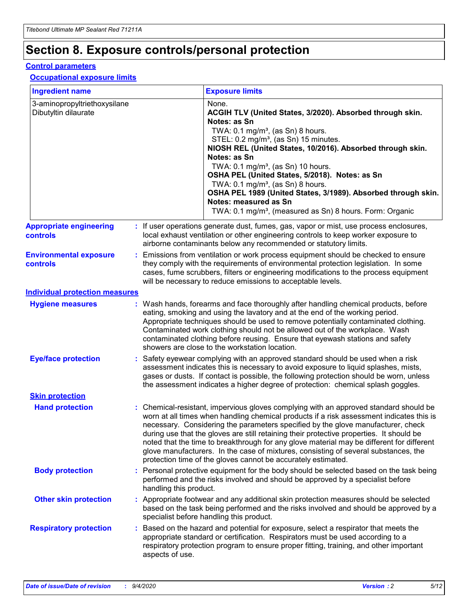# **Section 8. Exposure controls/personal protection**

### **Control parameters**

### **Occupational exposure limits**

| <b>Ingredient name</b>                               |                        | <b>Exposure limits</b>                                                                                                                                                                                                                                                                                                                                                                                                                                                                                                                                                                                                 |
|------------------------------------------------------|------------------------|------------------------------------------------------------------------------------------------------------------------------------------------------------------------------------------------------------------------------------------------------------------------------------------------------------------------------------------------------------------------------------------------------------------------------------------------------------------------------------------------------------------------------------------------------------------------------------------------------------------------|
| 3-aminopropyltriethoxysilane<br>Dibutyltin dilaurate |                        | None.<br>ACGIH TLV (United States, 3/2020). Absorbed through skin.<br>Notes: as Sn<br>TWA: 0.1 mg/m <sup>3</sup> , (as Sn) 8 hours.<br>STEL: 0.2 mg/m <sup>3</sup> , (as Sn) 15 minutes.<br>NIOSH REL (United States, 10/2016). Absorbed through skin.<br>Notes: as Sn<br>TWA: 0.1 mg/m <sup>3</sup> , (as Sn) 10 hours.<br>OSHA PEL (United States, 5/2018). Notes: as Sn<br>TWA: $0.1 \text{ mg/m}^3$ , (as Sn) 8 hours.<br>OSHA PEL 1989 (United States, 3/1989). Absorbed through skin.<br>Notes: measured as Sn<br>TWA: 0.1 mg/m <sup>3</sup> , (measured as Sn) 8 hours. Form: Organic                           |
| <b>Appropriate engineering</b><br><b>controls</b>    |                        | : If user operations generate dust, fumes, gas, vapor or mist, use process enclosures,<br>local exhaust ventilation or other engineering controls to keep worker exposure to<br>airborne contaminants below any recommended or statutory limits.                                                                                                                                                                                                                                                                                                                                                                       |
| <b>Environmental exposure</b><br><b>controls</b>     |                        | Emissions from ventilation or work process equipment should be checked to ensure<br>they comply with the requirements of environmental protection legislation. In some<br>cases, fume scrubbers, filters or engineering modifications to the process equipment<br>will be necessary to reduce emissions to acceptable levels.                                                                                                                                                                                                                                                                                          |
| <b>Individual protection measures</b>                |                        |                                                                                                                                                                                                                                                                                                                                                                                                                                                                                                                                                                                                                        |
| <b>Hygiene measures</b>                              |                        | : Wash hands, forearms and face thoroughly after handling chemical products, before<br>eating, smoking and using the lavatory and at the end of the working period.<br>Appropriate techniques should be used to remove potentially contaminated clothing.<br>Contaminated work clothing should not be allowed out of the workplace. Wash<br>contaminated clothing before reusing. Ensure that eyewash stations and safety<br>showers are close to the workstation location.                                                                                                                                            |
| <b>Eye/face protection</b>                           |                        | : Safety eyewear complying with an approved standard should be used when a risk<br>assessment indicates this is necessary to avoid exposure to liquid splashes, mists,<br>gases or dusts. If contact is possible, the following protection should be worn, unless<br>the assessment indicates a higher degree of protection: chemical splash goggles.                                                                                                                                                                                                                                                                  |
| <b>Skin protection</b>                               |                        |                                                                                                                                                                                                                                                                                                                                                                                                                                                                                                                                                                                                                        |
| <b>Hand protection</b>                               |                        | : Chemical-resistant, impervious gloves complying with an approved standard should be<br>worn at all times when handling chemical products if a risk assessment indicates this is<br>necessary. Considering the parameters specified by the glove manufacturer, check<br>during use that the gloves are still retaining their protective properties. It should be<br>noted that the time to breakthrough for any glove material may be different for different<br>glove manufacturers. In the case of mixtures, consisting of several substances, the<br>protection time of the gloves cannot be accurately estimated. |
| <b>Body protection</b>                               | handling this product. | : Personal protective equipment for the body should be selected based on the task being<br>performed and the risks involved and should be approved by a specialist before                                                                                                                                                                                                                                                                                                                                                                                                                                              |
| <b>Other skin protection</b>                         |                        | : Appropriate footwear and any additional skin protection measures should be selected<br>based on the task being performed and the risks involved and should be approved by a<br>specialist before handling this product.                                                                                                                                                                                                                                                                                                                                                                                              |
| <b>Respiratory protection</b>                        | aspects of use.        | : Based on the hazard and potential for exposure, select a respirator that meets the<br>appropriate standard or certification. Respirators must be used according to a<br>respiratory protection program to ensure proper fitting, training, and other important                                                                                                                                                                                                                                                                                                                                                       |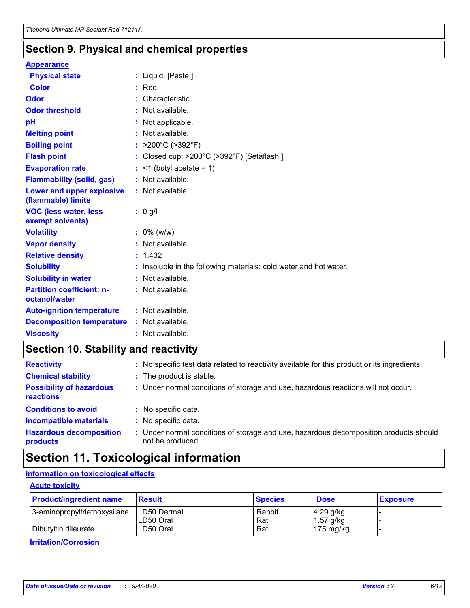### **Section 9. Physical and chemical properties**

### **Appearance**

| <b>Physical state</b>                             | : Liquid. [Paste.]                                              |
|---------------------------------------------------|-----------------------------------------------------------------|
| <b>Color</b>                                      | $:$ Red.                                                        |
| Odor                                              | Characteristic.                                                 |
| <b>Odor threshold</b>                             | : Not available.                                                |
| рH                                                | : Not applicable.                                               |
| <b>Melting point</b>                              | : Not available.                                                |
| <b>Boiling point</b>                              | : $>200^{\circ}$ C ( $>392^{\circ}$ F)                          |
| <b>Flash point</b>                                | Closed cup: >200°C (>392°F) [Setaflash.]                        |
| <b>Evaporation rate</b>                           | $:$ <1 (butyl acetate = 1)                                      |
| <b>Flammability (solid, gas)</b>                  | : Not available.                                                |
| Lower and upper explosive<br>(flammable) limits   | : Not available.                                                |
| <b>VOC (less water, less</b>                      | $: 0$ g/l                                                       |
| exempt solvents)                                  |                                                                 |
| <b>Volatility</b>                                 | $: 0\%$ (w/w)                                                   |
| <b>Vapor density</b>                              | : Not available.                                                |
| <b>Relative density</b>                           | : 1.432                                                         |
| <b>Solubility</b>                                 | Insoluble in the following materials: cold water and hot water. |
| <b>Solubility in water</b>                        | : Not available.                                                |
| <b>Partition coefficient: n-</b><br>octanol/water | $:$ Not available.                                              |
| <b>Auto-ignition temperature</b>                  | : Not available.                                                |
| <b>Decomposition temperature</b>                  | : Not available.                                                |

### **Section 10. Stability and reactivity**

| <b>Reactivity</b>                            | : No specific test data related to reactivity available for this product or its ingredients.            |
|----------------------------------------------|---------------------------------------------------------------------------------------------------------|
| <b>Chemical stability</b>                    | : The product is stable.                                                                                |
| <b>Possibility of hazardous</b><br>reactions | : Under normal conditions of storage and use, hazardous reactions will not occur.                       |
| <b>Conditions to avoid</b>                   | : No specific data.                                                                                     |
| <b>Incompatible materials</b>                | : No specific data.                                                                                     |
| <b>Hazardous decomposition</b><br>products   | Under normal conditions of storage and use, hazardous decomposition products should<br>not be produced. |

## **Section 11. Toxicological information**

### **Information on toxicological effects**

### **Acute toxicity**

| <b>Product/ingredient name</b> | <b>Result</b>           | <b>Species</b> | <b>Dose</b>                | <b>Exposure</b> |
|--------------------------------|-------------------------|----------------|----------------------------|-----------------|
| 3-aminopropyltriethoxysilane   | <b>ILD50 Dermal</b>     | Rabbit         | 4.29 g/kg                  |                 |
| Dibutyltin dilaurate           | ILD50 Oral<br>LD50 Oral | Rat<br>Rat     | $1.57$ g/kg<br>175 $mg/kg$ |                 |
|                                |                         |                |                            |                 |

**Irritation/Corrosion**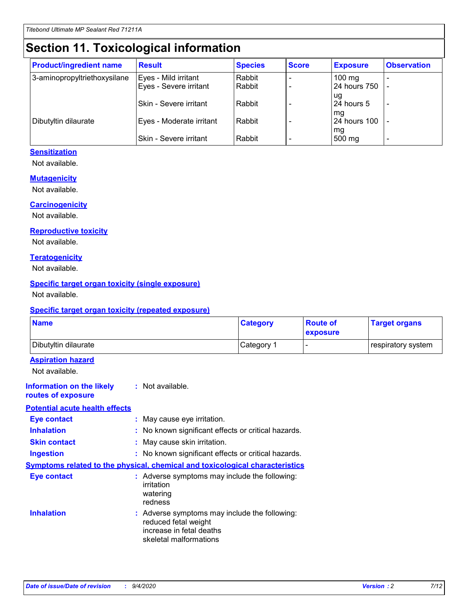# **Section 11. Toxicological information**

| <b>Product/ingredient name</b> | <b>Result</b>            | <b>Species</b> | <b>Score</b> | <b>Exposure</b>     | <b>Observation</b> |
|--------------------------------|--------------------------|----------------|--------------|---------------------|--------------------|
| 3-aminopropyltriethoxysilane   | Eyes - Mild irritant     | Rabbit         |              | $100 \text{ mg}$    |                    |
|                                | Eyes - Severe irritant   | Rabbit         |              | 24 hours 750        |                    |
|                                |                          |                |              | ug                  |                    |
|                                | Skin - Severe irritant   | Rabbit         |              | 24 hours 5          |                    |
|                                |                          |                |              | mq                  |                    |
| Dibutyltin dilaurate           | Eyes - Moderate irritant | Rabbit         |              | <b>24 hours 100</b> |                    |
|                                | Skin - Severe irritant   | Rabbit         |              | mg<br>500 mg        |                    |
|                                |                          |                |              |                     |                    |

### **Sensitization**

Not available.

### **Mutagenicity**

Not available.

#### **Carcinogenicity**

Not available.

#### **Reproductive toxicity**

Not available.

#### **Teratogenicity**

Not available.

### **Specific target organ toxicity (single exposure)**

Not available.

#### **Specific target organ toxicity (repeated exposure)**

| <b>Name</b>                                                                         |                                                                            | <b>Category</b>                                     | <b>Route of</b><br>exposure | <b>Target organs</b> |  |  |
|-------------------------------------------------------------------------------------|----------------------------------------------------------------------------|-----------------------------------------------------|-----------------------------|----------------------|--|--|
| Dibutyltin dilaurate                                                                |                                                                            | Category 1                                          |                             | respiratory system   |  |  |
| <b>Aspiration hazard</b><br>Not available.                                          |                                                                            |                                                     |                             |                      |  |  |
| <b>Information on the likely</b><br>routes of exposure                              | : Not available.                                                           |                                                     |                             |                      |  |  |
| <b>Potential acute health effects</b>                                               |                                                                            |                                                     |                             |                      |  |  |
| <b>Eye contact</b>                                                                  | : May cause eye irritation.                                                |                                                     |                             |                      |  |  |
| <b>Inhalation</b>                                                                   |                                                                            | : No known significant effects or critical hazards. |                             |                      |  |  |
| <b>Skin contact</b>                                                                 |                                                                            | : May cause skin irritation.                        |                             |                      |  |  |
| <b>Ingestion</b>                                                                    |                                                                            | : No known significant effects or critical hazards. |                             |                      |  |  |
| <b>Symptoms related to the physical, chemical and toxicological characteristics</b> |                                                                            |                                                     |                             |                      |  |  |
| <b>Eye contact</b>                                                                  | irritation<br>watering<br>redness                                          | : Adverse symptoms may include the following:       |                             |                      |  |  |
| <b>Inhalation</b>                                                                   | reduced fetal weight<br>increase in fetal deaths<br>skeletal malformations | : Adverse symptoms may include the following:       |                             |                      |  |  |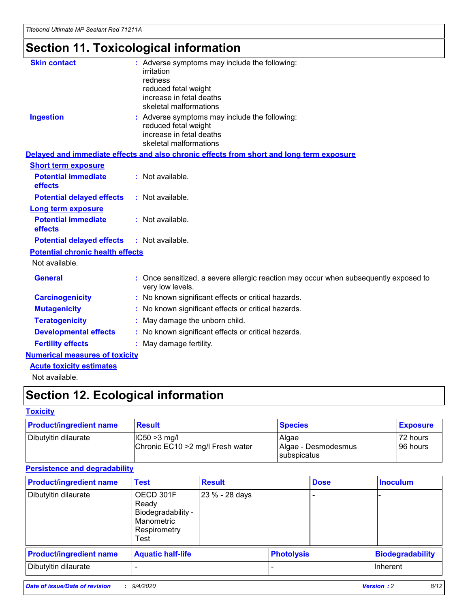# **Section 11. Toxicological information**

| <b>Skin contact</b>                     | : Adverse symptoms may include the following:<br>irritation                                              |
|-----------------------------------------|----------------------------------------------------------------------------------------------------------|
|                                         | redness                                                                                                  |
|                                         | reduced fetal weight                                                                                     |
|                                         | increase in fetal deaths                                                                                 |
|                                         | skeletal malformations                                                                                   |
| <b>Ingestion</b>                        | : Adverse symptoms may include the following:<br>reduced fetal weight                                    |
|                                         | increase in fetal deaths                                                                                 |
|                                         | skeletal malformations                                                                                   |
|                                         | Delayed and immediate effects and also chronic effects from short and long term exposure                 |
| <b>Short term exposure</b>              |                                                                                                          |
| <b>Potential immediate</b><br>effects   | : Not available.                                                                                         |
| <b>Potential delayed effects</b>        | : Not available.                                                                                         |
| Long term exposure                      |                                                                                                          |
| <b>Potential immediate</b>              | : Not available.                                                                                         |
| effects                                 |                                                                                                          |
| <b>Potential delayed effects</b>        | : Not available.                                                                                         |
| <b>Potential chronic health effects</b> |                                                                                                          |
| Not available.                          |                                                                                                          |
| <b>General</b>                          | : Once sensitized, a severe allergic reaction may occur when subsequently exposed to<br>very low levels. |
| <b>Carcinogenicity</b>                  | : No known significant effects or critical hazards.                                                      |
| <b>Mutagenicity</b>                     | No known significant effects or critical hazards.                                                        |
| <b>Teratogenicity</b>                   | May damage the unborn child.                                                                             |
| <b>Developmental effects</b>            | : No known significant effects or critical hazards.                                                      |
| <b>Fertility effects</b>                | : May damage fertility.                                                                                  |
| <b>Numerical measures of toxicity</b>   |                                                                                                          |
| <b>Acute toxicity estimates</b>         |                                                                                                          |
| .                                       |                                                                                                          |

Not available.

# **Section 12. Ecological information**

### **Toxicity**

| <b>Product/ingredient name</b> | <b>Result</b>                                       | <b>Species</b>               | <b>Exposure</b>       |
|--------------------------------|-----------------------------------------------------|------------------------------|-----------------------|
| Dibutyltin dilaurate           | $ CC50>3$ mg/l<br>Chronic EC10 > 2 mg/l Fresh water | Algae<br>Algae - Desmodesmus | 72 hours<br>196 hours |
|                                |                                                     | <b>I</b> subspicatus         |                       |

### **Persistence and degradability**

| <b>Product/ingredient name</b> | <b>Test</b>                                                                    | <b>Result</b>  |                   | <b>Dose</b> | <b>Inoculum</b>         |
|--------------------------------|--------------------------------------------------------------------------------|----------------|-------------------|-------------|-------------------------|
| Dibutyltin dilaurate           | OECD 301F<br>Ready<br>Biodegradability -<br>Manometric<br>Respirometry<br>Test | 23 % - 28 days |                   |             |                         |
| <b>Product/ingredient name</b> | <b>Aquatic half-life</b>                                                       |                | <b>Photolysis</b> |             | <b>Biodegradability</b> |
| Dibutyltin dilaurate           |                                                                                |                |                   |             | <b>Inherent</b>         |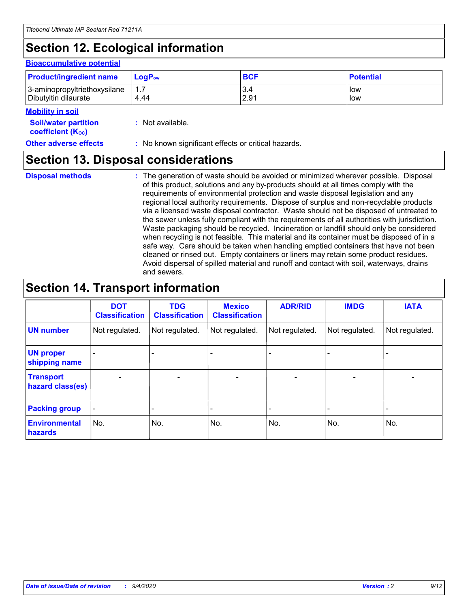# **Section 12. Ecological information**

#### **Bioaccumulative potential**

| <b>Product/ingredient name</b> | <b>LogP</b> <sub>ow</sub> | <b>BCF</b> | <b>Potential</b> |
|--------------------------------|---------------------------|------------|------------------|
| 3-aminopropyltriethoxysilane   | 4.44                      | 3.4        | low              |
| Dibutyltin dilaurate           |                           | 2.91       | low              |

#### **Mobility in soil**

| <b>Soil/water partition</b> | : Not available. |
|-----------------------------|------------------|
| <b>coefficient (Koc)</b>    |                  |

**Other adverse effects** : No known significant effects or critical hazards.

### **Section 13. Disposal considerations**

**Disposal methods :**

The generation of waste should be avoided or minimized wherever possible. Disposal of this product, solutions and any by-products should at all times comply with the requirements of environmental protection and waste disposal legislation and any regional local authority requirements. Dispose of surplus and non-recyclable products via a licensed waste disposal contractor. Waste should not be disposed of untreated to the sewer unless fully compliant with the requirements of all authorities with jurisdiction. Waste packaging should be recycled. Incineration or landfill should only be considered when recycling is not feasible. This material and its container must be disposed of in a safe way. Care should be taken when handling emptied containers that have not been cleaned or rinsed out. Empty containers or liners may retain some product residues. Avoid dispersal of spilled material and runoff and contact with soil, waterways, drains and sewers.

### **Section 14. Transport information**

|                                      | <b>DOT</b><br><b>Classification</b> | <b>TDG</b><br><b>Classification</b> | <b>Mexico</b><br><b>Classification</b> | <b>ADR/RID</b>           | <b>IMDG</b>              | <b>IATA</b>    |
|--------------------------------------|-------------------------------------|-------------------------------------|----------------------------------------|--------------------------|--------------------------|----------------|
| <b>UN number</b>                     | Not regulated.                      | Not regulated.                      | Not regulated.                         | Not regulated.           | Not regulated.           | Not regulated. |
| <b>UN proper</b><br>shipping name    |                                     |                                     |                                        |                          |                          |                |
| <b>Transport</b><br>hazard class(es) |                                     | $\overline{\phantom{0}}$            | $\qquad \qquad \blacksquare$           | $\overline{\phantom{0}}$ | $\overline{\phantom{0}}$ |                |
| <b>Packing group</b>                 |                                     |                                     |                                        |                          |                          |                |
| <b>Environmental</b><br>hazards      | No.                                 | No.                                 | No.                                    | No.                      | No.                      | No.            |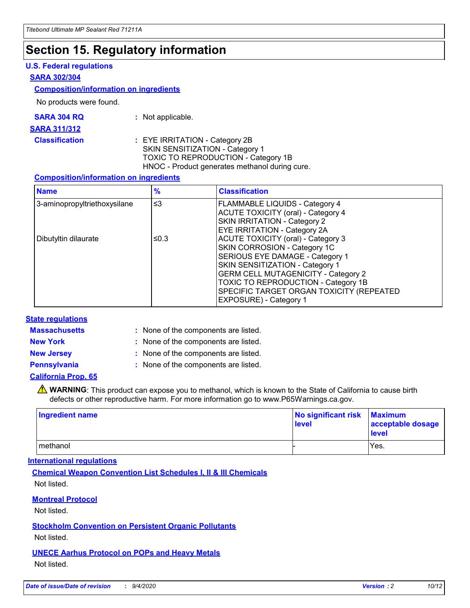### **Section 15. Regulatory information**

### **U.S. Federal regulations**

#### **SARA 302/304**

#### **Composition/information on ingredients**

No products were found.

| SARA 304 RQ | Not applicable. |
|-------------|-----------------|
|-------------|-----------------|

#### **SARA 311/312**

**Classification :** EYE IRRITATION - Category 2B SKIN SENSITIZATION - Category 1 TOXIC TO REPRODUCTION - Category 1B HNOC - Product generates methanol during cure.

### **Composition/information on ingredients**

| <b>Name</b>                  | $\frac{9}{6}$ | <b>Classification</b>                                                                                                                                                                                                                                                                                      |
|------------------------------|---------------|------------------------------------------------------------------------------------------------------------------------------------------------------------------------------------------------------------------------------------------------------------------------------------------------------------|
| 3-aminopropyltriethoxysilane | $\leq$ 3      | <b>FLAMMABLE LIQUIDS - Category 4</b><br><b>ACUTE TOXICITY (oral) - Category 4</b><br><b>SKIN IRRITATION - Category 2</b><br>EYE IRRITATION - Category 2A                                                                                                                                                  |
| Dibutyltin dilaurate         | ≤0.3          | <b>ACUTE TOXICITY (oral) - Category 3</b><br>SKIN CORROSION - Category 1C<br>SERIOUS EYE DAMAGE - Category 1<br>SKIN SENSITIZATION - Category 1<br><b>GERM CELL MUTAGENICITY - Category 2</b><br>TOXIC TO REPRODUCTION - Category 1B<br>SPECIFIC TARGET ORGAN TOXICITY (REPEATED<br>EXPOSURE) - Category 1 |

### **State regulations**

**Massachusetts :**

: None of the components are listed.

**New York :** None of the components are listed.

**New Jersey :** None of the components are listed.

**Pennsylvania :** None of the components are listed.

### **California Prop. 65**

WARNING: This product can expose you to methanol, which is known to the State of California to cause birth defects or other reproductive harm. For more information go to www.P65Warnings.ca.gov.

| Ingredient name | No significant risk<br>level | <b>Maximum</b><br>acceptable dosage<br>level |
|-----------------|------------------------------|----------------------------------------------|
| methanol        |                              | Yes.                                         |

### **International regulations**

**Chemical Weapon Convention List Schedules I, II & III Chemicals** Not listed.

### **Montreal Protocol**

Not listed.

**Stockholm Convention on Persistent Organic Pollutants**

Not listed.

### **UNECE Aarhus Protocol on POPs and Heavy Metals** Not listed.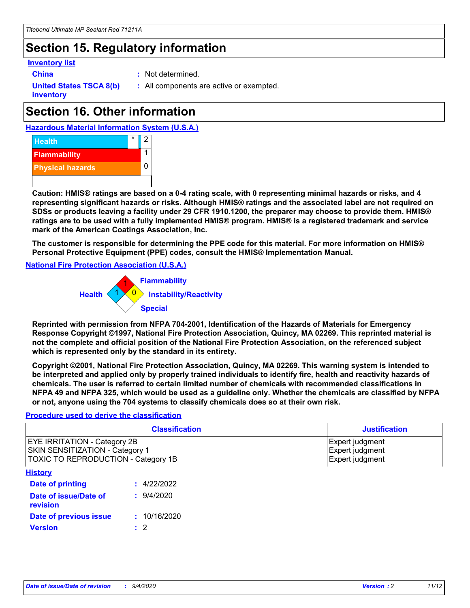## **Section 15. Regulatory information**

### **Inventory list**

**China :** Not determined.

**United States TSCA 8(b) inventory**

**:** All components are active or exempted.

## **Section 16. Other information**





**Caution: HMIS® ratings are based on a 0-4 rating scale, with 0 representing minimal hazards or risks, and 4 representing significant hazards or risks. Although HMIS® ratings and the associated label are not required on SDSs or products leaving a facility under 29 CFR 1910.1200, the preparer may choose to provide them. HMIS® ratings are to be used with a fully implemented HMIS® program. HMIS® is a registered trademark and service mark of the American Coatings Association, Inc.**

**The customer is responsible for determining the PPE code for this material. For more information on HMIS® Personal Protective Equipment (PPE) codes, consult the HMIS® Implementation Manual.**

**National Fire Protection Association (U.S.A.)**



**Reprinted with permission from NFPA 704-2001, Identification of the Hazards of Materials for Emergency Response Copyright ©1997, National Fire Protection Association, Quincy, MA 02269. This reprinted material is not the complete and official position of the National Fire Protection Association, on the referenced subject which is represented only by the standard in its entirety.**

**Copyright ©2001, National Fire Protection Association, Quincy, MA 02269. This warning system is intended to be interpreted and applied only by properly trained individuals to identify fire, health and reactivity hazards of chemicals. The user is referred to certain limited number of chemicals with recommended classifications in NFPA 49 and NFPA 325, which would be used as a guideline only. Whether the chemicals are classified by NFPA or not, anyone using the 704 systems to classify chemicals does so at their own risk.**

### **Procedure used to derive the classification**

| <b>Classification</b>                                                                                                | <b>Justification</b>                                  |
|----------------------------------------------------------------------------------------------------------------------|-------------------------------------------------------|
| <b>EYE IRRITATION - Category 2B</b><br><b>SKIN SENSITIZATION - Category 1</b><br>TOXIC TO REPRODUCTION - Category 1B | Expert judgment<br>Expert judgment<br>Expert judgment |
| <b>History</b>                                                                                                       |                                                       |

| .                                 |              |
|-----------------------------------|--------------|
| <b>Date of printing</b>           | : 4/22/2022  |
| Date of issue/Date of<br>revision | 9/4/2020     |
| Date of previous issue            | : 10/16/2020 |
| <b>Version</b>                    | $\cdot$ 2    |
|                                   |              |